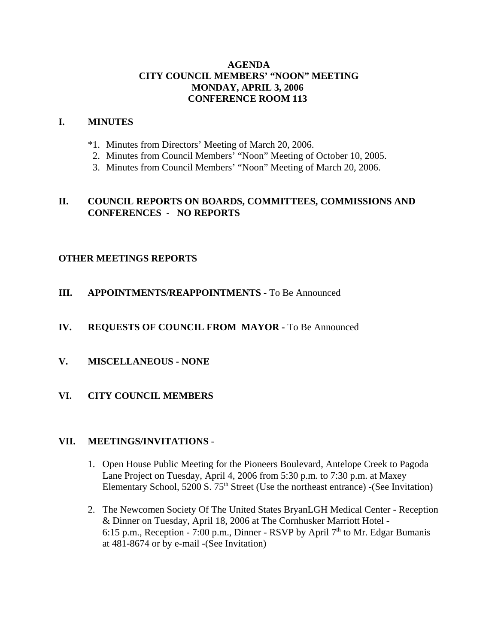# **AGENDA CITY COUNCIL MEMBERS' "NOON" MEETING MONDAY, APRIL 3, 2006 CONFERENCE ROOM 113**

## **I. MINUTES**

- \*1. Minutes from Directors' Meeting of March 20, 2006.
- 2. Minutes from Council Members' "Noon" Meeting of October 10, 2005.
- 3. Minutes from Council Members' "Noon" Meeting of March 20, 2006.

# **II. COUNCIL REPORTS ON BOARDS, COMMITTEES, COMMISSIONS AND CONFERENCES - NO REPORTS**

# **OTHER MEETINGS REPORTS**

# **III.** APPOINTMENTS/REAPPOINTMENTS - To Be Announced

## **IV. REQUESTS OF COUNCIL FROM MAYOR -** To Be Announced

**V. MISCELLANEOUS - NONE** 

### **VI. CITY COUNCIL MEMBERS**

### **VII. MEETINGS/INVITATIONS** -

- 1. Open House Public Meeting for the Pioneers Boulevard, Antelope Creek to Pagoda Lane Project on Tuesday, April 4, 2006 from 5:30 p.m. to 7:30 p.m. at Maxey Elementary School,  $5200 S. 75<sup>th</sup> Street (Use the northeast entrance) - (See Invitation)$
- 2. The Newcomen Society Of The United States BryanLGH Medical Center Reception & Dinner on Tuesday, April 18, 2006 at The Cornhusker Marriott Hotel - 6:15 p.m., Reception - 7:00 p.m., Dinner - RSVP by April  $7<sup>th</sup>$  to Mr. Edgar Bumanis at 481-8674 or by e-mail -(See Invitation)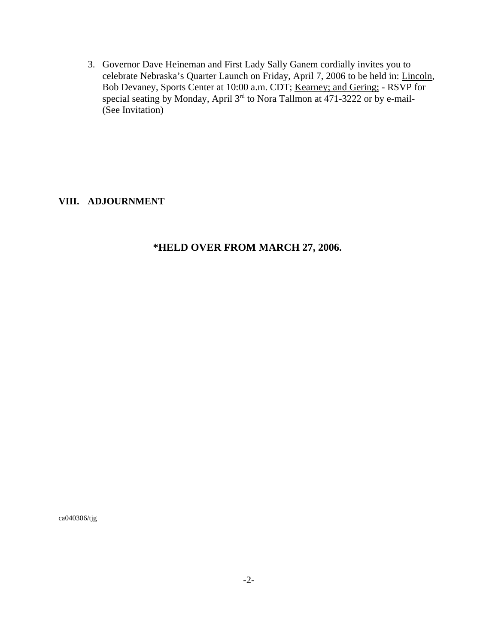3. Governor Dave Heineman and First Lady Sally Ganem cordially invites you to celebrate Nebraska's Quarter Launch on Friday, April 7, 2006 to be held in: Lincoln, Bob Devaney, Sports Center at 10:00 a.m. CDT; Kearney; and Gering; - RSVP for special seating by Monday, April 3<sup>rd</sup> to Nora Tallmon at 471-3222 or by e-mail-(See Invitation)

# **VIII. ADJOURNMENT**

# **\*HELD OVER FROM MARCH 27, 2006.**

ca040306/tjg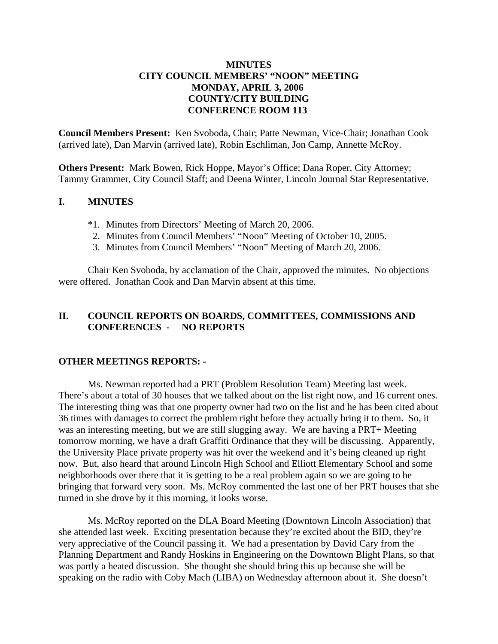# **MINUTES CITY COUNCIL MEMBERS' "NOON" MEETING MONDAY, APRIL 3, 2006 COUNTY/CITY BUILDING CONFERENCE ROOM 113**

**Council Members Present:** Ken Svoboda, Chair; Patte Newman, Vice-Chair; Jonathan Cook (arrived late), Dan Marvin (arrived late), Robin Eschliman, Jon Camp, Annette McRoy.

**Others Present:** Mark Bowen, Rick Hoppe, Mayor's Office; Dana Roper, City Attorney; Tammy Grammer, City Council Staff; and Deena Winter, Lincoln Journal Star Representative.

# **I. MINUTES**

- \*1. Minutes from Directors' Meeting of March 20, 2006.
- 2. Minutes from Council Members' "Noon" Meeting of October 10, 2005.
- 3. Minutes from Council Members' "Noon" Meeting of March 20, 2006.

Chair Ken Svoboda, by acclamation of the Chair, approved the minutes. No objections were offered. Jonathan Cook and Dan Marvin absent at this time.

# **II. COUNCIL REPORTS ON BOARDS, COMMITTEES, COMMISSIONS AND CONFERENCES - NO REPORTS**

### **OTHER MEETINGS REPORTS: -**

Ms. Newman reported had a PRT (Problem Resolution Team) Meeting last week. There's about a total of 30 houses that we talked about on the list right now, and 16 current ones. The interesting thing was that one property owner had two on the list and he has been cited about 36 times with damages to correct the problem right before they actually bring it to them. So, it was an interesting meeting, but we are still slugging away. We are having a PRT+ Meeting tomorrow morning, we have a draft Graffiti Ordinance that they will be discussing. Apparently, the University Place private property was hit over the weekend and it's being cleaned up right now. But, also heard that around Lincoln High School and Elliott Elementary School and some neighborhoods over there that it is getting to be a real problem again so we are going to be bringing that forward very soon. Ms. McRoy commented the last one of her PRT houses that she turned in she drove by it this morning, it looks worse.

Ms. McRoy reported on the DLA Board Meeting (Downtown Lincoln Association) that she attended last week. Exciting presentation because they're excited about the BID, they're very appreciative of the Council passing it. We had a presentation by David Cary from the Planning Department and Randy Hoskins in Engineering on the Downtown Blight Plans, so that was partly a heated discussion. She thought she should bring this up because she will be speaking on the radio with Coby Mach (LIBA) on Wednesday afternoon about it. She doesn't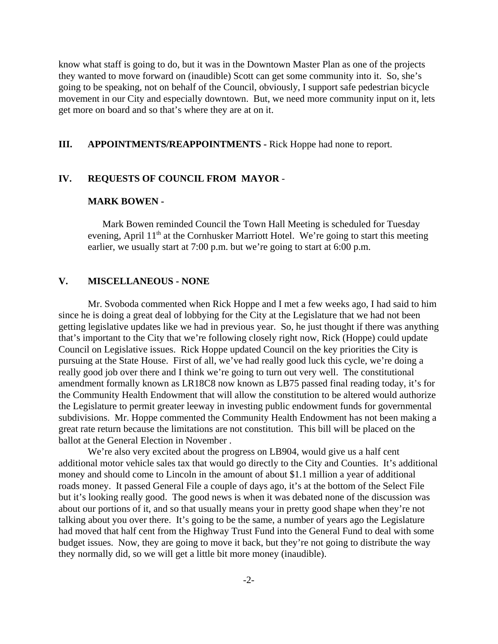know what staff is going to do, but it was in the Downtown Master Plan as one of the projects they wanted to move forward on (inaudible) Scott can get some community into it. So, she's going to be speaking, not on behalf of the Council, obviously, I support safe pedestrian bicycle movement in our City and especially downtown. But, we need more community input on it, lets get more on board and so that's where they are at on it.

## **III. APPOINTMENTS/REAPPOINTMENTS -** Rick Hoppe had none to report.

#### **IV. REQUESTS OF COUNCIL FROM MAYOR** -

#### **MARK BOWEN -**

Mark Bowen reminded Council the Town Hall Meeting is scheduled for Tuesday evening, April  $11<sup>th</sup>$  at the Cornhusker Marriott Hotel. We're going to start this meeting earlier, we usually start at 7:00 p.m. but we're going to start at 6:00 p.m.

### **V. MISCELLANEOUS - NONE**

Mr. Svoboda commented when Rick Hoppe and I met a few weeks ago, I had said to him since he is doing a great deal of lobbying for the City at the Legislature that we had not been getting legislative updates like we had in previous year. So, he just thought if there was anything that's important to the City that we're following closely right now, Rick (Hoppe) could update Council on Legislative issues. Rick Hoppe updated Council on the key priorities the City is pursuing at the State House. First of all, we've had really good luck this cycle, we're doing a really good job over there and I think we're going to turn out very well. The constitutional amendment formally known as LR18C8 now known as LB75 passed final reading today, it's for the Community Health Endowment that will allow the constitution to be altered would authorize the Legislature to permit greater leeway in investing public endowment funds for governmental subdivisions. Mr. Hoppe commented the Community Health Endowment has not been making a great rate return because the limitations are not constitution. This bill will be placed on the ballot at the General Election in November .

We're also very excited about the progress on LB904, would give us a half cent additional motor vehicle sales tax that would go directly to the City and Counties. It's additional money and should come to Lincoln in the amount of about \$1.1 million a year of additional roads money. It passed General File a couple of days ago, it's at the bottom of the Select File but it's looking really good. The good news is when it was debated none of the discussion was about our portions of it, and so that usually means your in pretty good shape when they're not talking about you over there. It's going to be the same, a number of years ago the Legislature had moved that half cent from the Highway Trust Fund into the General Fund to deal with some budget issues. Now, they are going to move it back, but they're not going to distribute the way they normally did, so we will get a little bit more money (inaudible).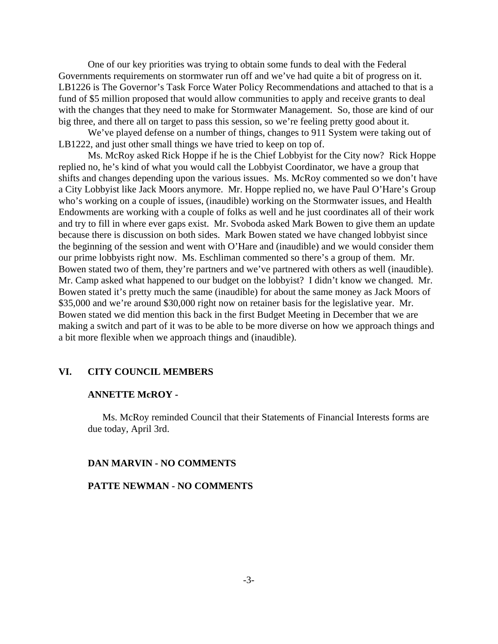One of our key priorities was trying to obtain some funds to deal with the Federal Governments requirements on stormwater run off and we've had quite a bit of progress on it. LB1226 is The Governor's Task Force Water Policy Recommendations and attached to that is a fund of \$5 million proposed that would allow communities to apply and receive grants to deal with the changes that they need to make for Stormwater Management. So, those are kind of our big three, and there all on target to pass this session, so we're feeling pretty good about it.

We've played defense on a number of things, changes to 911 System were taking out of LB1222, and just other small things we have tried to keep on top of.

Ms. McRoy asked Rick Hoppe if he is the Chief Lobbyist for the City now? Rick Hoppe replied no, he's kind of what you would call the Lobbyist Coordinator, we have a group that shifts and changes depending upon the various issues. Ms. McRoy commented so we don't have a City Lobbyist like Jack Moors anymore. Mr. Hoppe replied no, we have Paul O'Hare's Group who's working on a couple of issues, (inaudible) working on the Stormwater issues, and Health Endowments are working with a couple of folks as well and he just coordinates all of their work and try to fill in where ever gaps exist. Mr. Svoboda asked Mark Bowen to give them an update because there is discussion on both sides. Mark Bowen stated we have changed lobbyist since the beginning of the session and went with O'Hare and (inaudible) and we would consider them our prime lobbyists right now. Ms. Eschliman commented so there's a group of them. Mr. Bowen stated two of them, they're partners and we've partnered with others as well (inaudible). Mr. Camp asked what happened to our budget on the lobbyist? I didn't know we changed. Mr. Bowen stated it's pretty much the same (inaudible) for about the same money as Jack Moors of \$35,000 and we're around \$30,000 right now on retainer basis for the legislative year. Mr. Bowen stated we did mention this back in the first Budget Meeting in December that we are making a switch and part of it was to be able to be more diverse on how we approach things and a bit more flexible when we approach things and (inaudible).

### **VI. CITY COUNCIL MEMBERS**

#### **ANNETTE McROY -**

Ms. McRoy reminded Council that their Statements of Financial Interests forms are due today, April 3rd.

#### **DAN MARVIN - NO COMMENTS**

#### **PATTE NEWMAN - NO COMMENTS**